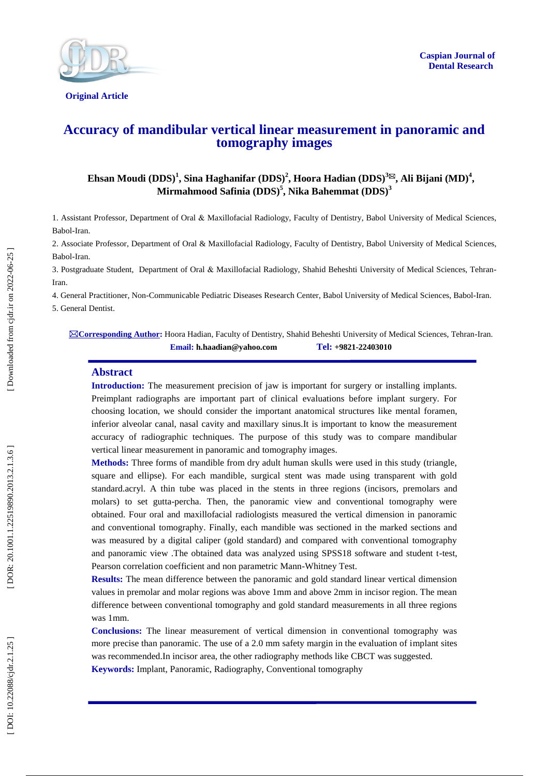

**Original Article** 

# **Accuracy of mandibular vertical linear measurement in panoramic and tomography images**

 $\bf{E}$ hsan Moudi (DDS)<sup>1</sup>, Sina Haghanifar (DDS)<sup>2</sup>, Hoora Hadian (DDS)<sup>3⊠</sup>, Ali Bijani (MD)<sup>4</sup>, **Mirmahmood Safinia (DDS) 5 , Nika Bahemmat (DDS) 3**

1. Assistant Professor, Department of Oral & Maxillofacial Radiology, Faculty of Dentistry , Babol University of Medical Sciences, Babol -Iran.

2. Associate Professor, Department of Oral & Maxillofacial Radiology, Faculty of Dentistry, Babol University of Medical Sciences, Babol-Iran.

3. Postgraduate Student, Department of Oral & Maxillofacial Radiology, Shahid Beheshti University of Medical Sciences, Tehran - Iran.

4. General Practitioner, Non -Communicable Pediatric Diseases Research Center, Babol University of Medical Sciences, Babol -Iran. 5. General Dentist .

**Corresponding Author :** Hoora Hadian, Faculty of Dentistry, Shahid Beheshti University of Medical Sciences, Tehran -Iran. **Email: h.haadian@yahoo.com Tel: +9821 -22403010**

#### **Abstract**

**Introduction :** The measurement precision of jaw is important for surgery or installing implants. Preimplant radiographs are important part of clinical evaluations before implant surgery. For choosing location, we should consider the important anatomical structures like mental foramen, inferior alveolar canal, nasal cavity and maxillary sinus.It is important to know the measurement accuracy of radiographic techniques. The purpose of this study was to compare mandibular vertical linear measurement in panoramic and tomography images.

**Methods:** Three forms of mandible from dry adult human skulls were used in this study (triangle, square and ellipse). For each mandible, surgical stent was made using transparent with gold standard.acryl. A thin tube was placed in the stents in three regions (incisors, premolars and molars) to set gutta -percha. Then, the panoramic view and conventional tomography were obtained. Four oral and maxillofacial radiologists measured the vertical dimension in panoramic and conventional tomography. Finally, each mandible was sectioned in the marked sections and was measured by a digital caliper (gold standard) and compared with conventional tomography and panoramic view .The obtained data was analyzed using SPSS18 software and student t-test, Pearson correlation coefficient and non parametric Mann -Whitney Test.

**Results:** The mean difference between the panoramic and gold standard linear vertical dimension values in premolar and molar regions was above 1mm and above 2mm in incisor region. The mean difference between conventional tomography and gold standard measurements in all three regions was 1mm.

**Conclusions:** The linear measurement of vertical dimension in conventional tomography was more precise than panoramic. The use of a 2.0 mm safety margin in the evaluation of implant sites was recommended.In incisor area, the other radiography methods like CBCT was suggested. **Keywords:** Implant, Panoramic, Radiography, Conventional tomography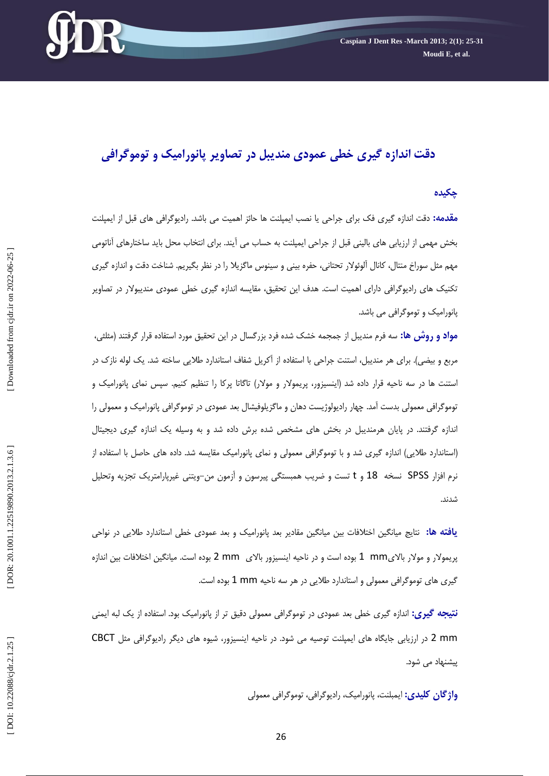

# **دقت اندازه گيری خطی عمودی منديبل در تصاوير پانوراميک و توموگرافی**

#### **چکيده**

<mark>مقدمه:</mark> دقت اندازه گیری فک برای جراحی یا نصب ایمپلنت ها حائز اهمیت می باشد. رادیوگرافی های قبل از ایمپلنت بخش مهمي از ارزيابي هاي باليني قبل از جراحي ايمپلنت به حساب مي ايند. براي انتخاب محل بايد ساختارهاي اناتومي مهم مثل سوراخ منتال، كانال آلوئولار تحتاني، حفره بيني و سينوس ماگزيلا را در نظر بگيريم. شناخت دقت و اندازه گيري تكنيك هاي راديوگرافي داراي اهميت است. هدف اين تحقيق، مقايسه اندازه گيري خطي عمودي منديبولار در تصاوير پانوراميک و توموگرافي مي باشد.

**مواد و روش ها:** سه فرم منديبل از جمجمه خشک شده فرد بزرگسال در اين تحقيق مورد استفاده قرار گرفتند (مثلثي، مربع و بيضي). براي هر منديبل، استنت جراحي با استفاده از آكريل شفاف استاندارد طلايي ساخته شد. يک لوله نازک در استنت ها در سه ناحيه قرار داده شد (اينسيزور، پريمولار و مولار) تاگاتا پركا را تنظيم كنيم. سپس نمای پانوراميک و توموگرافي معمولي بدست آمد. چهار راديولوژيست دهان و ماگزيلوفيشال بعد عمودي در توموگرافي پانوراميک و معمولي را اندازه گرفتند. در پايان هرمنديبل در بخش هاي مشخص شده برش داده شد و به وسيله يک اندازه گيري ديجيتال (استاندارد طلايي) اندازه گيري شد و با توموگرافي معمولي و نماي پانوراميک مقايسه شد. داده هاي حاصل با استفاده از نرم افزار SPSS نسخه 18 و t تست و ضريب همبستگى پيرسون و آزمون من–ويتنى غيرپارامتريک تجزيه وتحليل<br>شدند.

**يافته ها:** نتايج ميانگين اختلافات بين ميانگين مقادير بعد پانوراميک و بعد عمودی خطی استاندارد طلايی در نواحی پريمولار و مولار بالایmm 1 بوده است و در ناحيه اينسيزور بالای mm 2 بوده است. ميانگين اختلافات بين اندازه گیری های توموگرافی معمولی و استاندارد طلایی در هر سه ناحیه 1 mm بوده است.

**نتيجه گيري:** اندازه گيري خطي بعد عمودي در توموگرافي معمولي دقيق تر از پانوراميک بود. استفاده از يک لبه ايمني 2 mm در ارزيابي جايگاه هاي ايمپلنت توصيه مي شود. در ناحيه اينسيزور، شيوه هاي ديگر راديوگرافي مثل CBCT پيشنهاد مي شود.

**واژگان کلیدی:** ایمبلنت، پانورامیک، رادیوگرافی، توموگرافی معمولی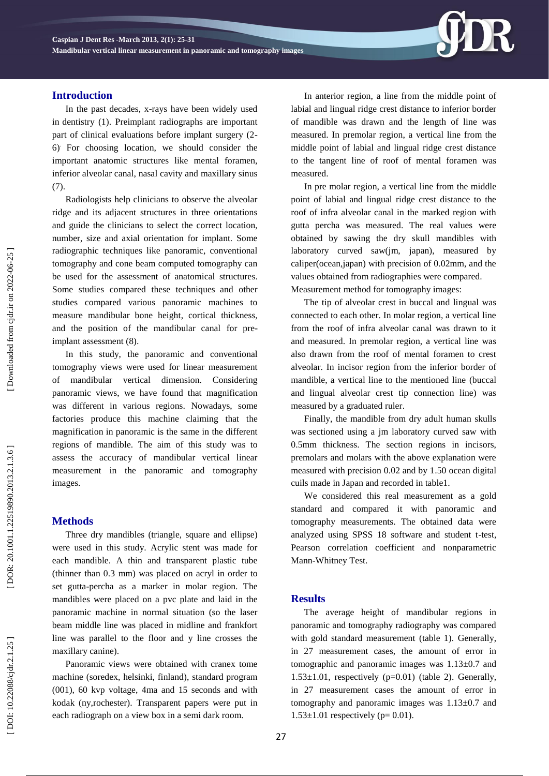# **Introduction**

In the past decades, x -rays have been widely used in dentistry (1). Preimplant radiographs are important part of clinical evaluations before implant surgery (2 - 6). For choosing location, we should consider the important anatomic structures like mental foramen, inferior alveolar canal, nasal cavity and maxillary sinus (7).

Radiologists help clinicians to observe the alveolar ridge and its adjacent structures in three orientations and guide the clinicians to select the correct location, number, size and axial orientation for implant. Some radiographic techniques like panoramic, conventional tomography and cone beam computed tomography can be used for the assessment of anatomical structures. Some studies compared these techniques and other studies compared various panoramic machines to measure mandibular bone height, cortical thickness, and the position of the mandibular canal for pre implant assessment (8).

In this study, the panoramic and conventional tomography views were used for linear measurement of mandibular vertical dimension. Considering panoramic views, we have found that magnification was different in various regions. Nowadays, some factories produce this machine claiming that the magnification in panoramic is the same in the different regions of mandible. The aim of this study was to assess the accuracy of mandibular vertical linear measurement in the panoramic and tomography images.

# **Method s**

Three dry mandibles (triangle, square and ellipse) were used in this study. Acrylic stent was made for each mandible. A thin and transparent plastic tube (thinner than 0.3 mm) was placed on acryl in order to set gutta -percha as a marker in molar region. The mandibles were placed on a pvc plate and laid in the panoramic machine in normal situation (so the laser beam middle line was placed in midline and frankfort line was parallel to the floor and y line crosses the maxillary canine).

Panoramic views were obtained with cranex tome machine (soredex, helsinki, finland), standard program (001), 60 kvp voltage, 4ma and 15 seconds and with kodak (ny,rochester). Transparent papers were put in each radiograph on a view box in a semi dark room.

In anterior region , a line from the middle point of labial and lingual ridge crest distance to inferior border of mandible was drawn and the length of line was measured. In premolar region, a vertical line from the middle point of labial and lingual ridge crest distance to the tangent line of roof of mental foramen was measured.

In pre molar region, a vertical line from the middle point of labial and lingual ridge crest distance to the roof of infra alveolar canal in the marked region with gutta percha was measured. The real values were obtained by sawing the dry skull mandibles with laboratory curved saw(jm, japan), measured by caliper(ocean,japan) with precision of 0.02mm, and the values obtained from radiographies were compared. Measurement method for tomography images:

The tip of alveolar crest in buccal and lingual was connected to each other. In molar region, a vertical line from the roof of infra alveolar canal was drawn to it and measured. In premolar region, a vertical line was also drawn from the roof of mental foramen to crest alveolar. In incisor region from the inferior border of mandible, a vertical line to the mentioned line (buccal and lingual alveolar crest tip connection line) was measured by a graduated ruler.

Finally, the mandible from dry adult human skulls was sectioned using a jm laboratory curved saw with 0.5mm thickness. The section regions in incisors, premolars and molars with the above explanation were measured with precision 0.02 and by 1 .50 ocean digital cuils made in Japan and recorded in table1.

We considered this real measurement as a gold standard and compared it with panoramic and tomography measurements. The obtained data were analyzed using SPSS 18 software and student t -test, Pearson correlation coefficient and nonparametric Mann -Whitney Test.

# **Result s**

The average height of mandibular regions in panoramic and tomography radiography was compared with gold standard measurement (table 1). Generally, in 27 measurement cases, the amount of error in tomographic and panoramic images was 1.13±0.7 and  $1.53\pm1.01$ , respectively (p=0.01) (table 2). Generally, in 27 measurement cases the amount of error in tomography and panoramic images was  $1.13\pm0.7$  and  $1.53 \pm 1.01$  respectively (p= 0.01).

DOR: 20.1001.1.22519890.2013.2.1.3.6

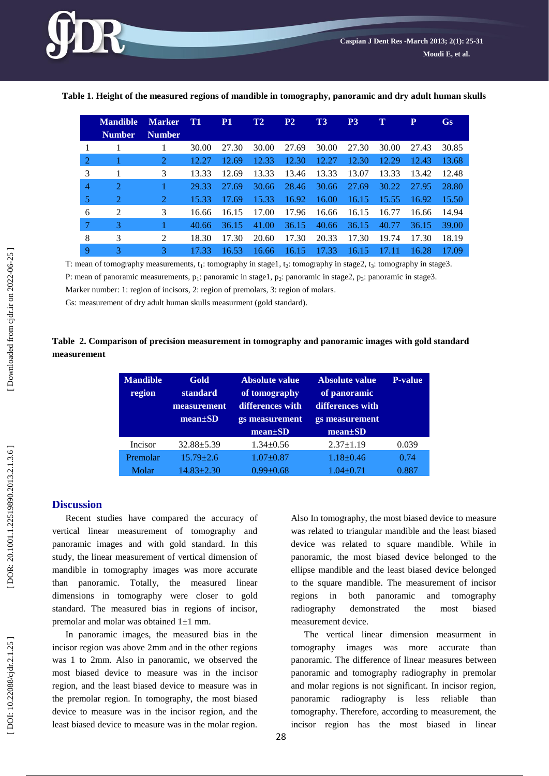

|                | <b>Mandible</b>             | <b>Marker</b> | T1    | P <sub>1</sub> | T2    | P <sub>2</sub> | T3    | <b>P3</b> | т     | P     | <b>Gs</b> |
|----------------|-----------------------------|---------------|-------|----------------|-------|----------------|-------|-----------|-------|-------|-----------|
|                | <b>Number</b>               | <b>Number</b> |       |                |       |                |       |           |       |       |           |
| 1              | 1                           |               | 30.00 | 27.30          | 30.00 | 27.69          | 30.00 | 27.30     | 30.00 | 27.43 | 30.85     |
| -2             |                             | 2             | 12.27 | 12.69          | 12.33 | 12.30          | 12.27 | 12.30     | 12.29 | 12.43 | 13.68     |
| 3              |                             | 3             | 13.33 | 12.69          | 13.33 | 13.46          | 13.33 | 13.07     | 13.33 | 13.42 | 12.48     |
| $\overline{4}$ | $\mathcal{D}_{\mathcal{L}}$ |               | 29.33 | 27.69          | 30.66 | 28.46          | 30.66 | 27.69     | 30.22 | 27.95 | 28.80     |
| 5              | 2                           | 2             | 15.33 | 17.69          | 15.33 | 16.92          | 16.00 | 16.15     | 15.55 | 16.92 | 15.50     |
| 6              | 2                           | 3             | 16.66 | 16.15          | 17.00 | 17.96          | 16.66 | 16.15     | 16.77 | 16.66 | 14.94     |
| 7              | 3                           |               | 40.66 | 36.15          | 41.00 | 36.15          | 40.66 | 36.15     | 40.77 | 36.15 | 39.00     |
| 8              | 3                           | 2             | 18.30 | 17.30          | 20.60 | 17.30          | 20.33 | 17.30     | 19.74 | 17.30 | 18.19     |
| 9              | 3                           | 3             | 17.33 | 16.53          | 16.66 | 16.15          | 17.33 | 16.15     | 17.11 | 16.28 | 17.09     |

**Table 1 . Height of the measured regions of mandible in tomography, panoramic and dry adult human skulls**

T: mean of tomography measurements, t<sub>1</sub>: tomography in stage1, t<sub>2</sub>: tomography in stage2, t<sub>3</sub>: tomography in stage3.

P: mean of panoramic measurements, p<sub>1</sub>: panoramic in stage1, p<sub>2</sub>: panoramic in stage2, p<sub>3</sub>: panoramic in stage3.

Marker number: 1: region of incisors, 2: region of premolars, 3: region of molars .

Gs: measurement of dry adult human skulls measurment (gold standard) .

### **Table 2 . Comparison of precision measurement in tomography and panoramic images with gold standard measurement**

| <b>Mandible</b><br>region | Gold<br>standard<br>measurement<br>$mean \pm SD$ | Absolute value<br>of tomography<br>differences with<br>gs measurement<br>$mean \pm SD$ | Absolute value<br>of panoramic<br>differences with<br>gs measurement<br>$mean \pm SD$ | <b>P-value</b> |
|---------------------------|--------------------------------------------------|----------------------------------------------------------------------------------------|---------------------------------------------------------------------------------------|----------------|
| Incisor                   | $32.88 + 5.39$                                   | $1.34 + 0.56$                                                                          | $2.37 \pm 1.19$                                                                       | 0.039          |
| Premolar                  | $15.79 + 2.6$                                    | $1.07 + 0.87$                                                                          | $1.18 \pm 0.46$                                                                       | 0.74           |
| Molar                     | $14.83 + 2.30$                                   | $0.99 + 0.68$                                                                          | $1.04 + 0.71$                                                                         | 0.887          |

#### **Discussion**

Recent studies have compared the accuracy of vertical linear measurement of tomography and panoramic images and with gold standard. In this study, the linear measurement of vertical dimension of mandible in tomography images was more accurate than panoramic. Totally, the measured linear dimensions in tomography were closer to gold standard. The measured bias in regions of incisor, premolar and molar was obtained 1 ±1 mm.

In panoramic images, the measured bias in the incisor region was above 2mm and in the other regions was 1 to 2mm. Also in panoramic, we observed the most biased device to measure was in the incisor region, and the least biased device to measure was in the premolar region. In tomography, the most biased device to measure was in the incisor region, and the least biased device to measure was in the molar region. Also In tomography, the most biased device to measure was related to triangular mandible and the least biased device was related to square mandible. While in panoramic, the most biased device belonged to the ellipse mandible and the least biased device belonged to the square mandible. The measurement of incisor regions in both panoramic and tomography radiography demonstrated the most biased measurement device.

The vertical linear dimension measurment in tomography images was more accurate than panoramic. The difference of linear measures between panoramic and tomography radiography in premolar and molar regions is not significant. In incisor region, panoramic radiography is less reliable than tomography. Therefore, according to measurement, the incisor region has the most biased in linear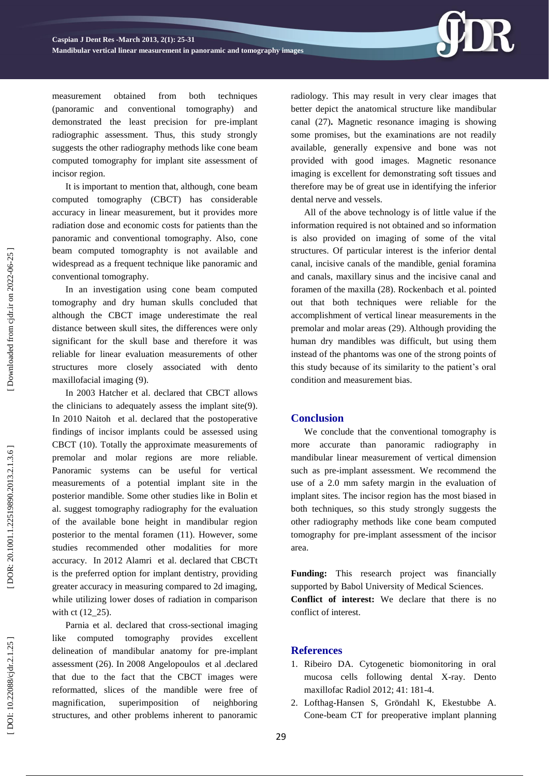

measurement obtained from both techniques (panoramic and conventional tomography) and demonstrated the least precision for pre -implant radiographic assessment. Thus, this study strongly suggests the other radiography methods like cone beam computed tomography for implant site assessment of incisor region.

It is important to mention that, although, cone beam computed tomography (CBCT) has considerable accuracy in linear measurement, but it provides more radiation dose and economic costs for patients than the panoramic and conventional tomography. Also, cone beam computed tomographty is not available and widespread as a frequent technique like panoramic and conventional tomography.

In an investigation using cone beam computed tomography and dry human skulls concluded that although the CBCT image underestimate the real distance between skull sites, the differences were only significant for the skull base and therefore it was reliable for linear evaluation measurements of other structures more closely associated with dento maxillofacial imaging (9).

In 2003 Hatcher et al. declared that CBCT allows the clinicians to adequately assess the implant site(9) . In 2010 [Naitoh](http://www.ncbi.nlm.nih.gov/pubmed?term=Naitoh%20M%5BAuthor%5D&cauthor=true&cauthor_uid=20545543) et al. declared that the postoperative findings of incisor implants could be assessed using CBCT (10) . Totally the approximate measurements of premolar and molar regions are more reliable. Panoramic systems can be useful for vertical measurements of a potential implant site in the posterior mandible. Some other studies like in Bolin et al. suggest tomography radiography for the evaluation of the available bone height in mandibular region posterior to the mental foramen (11). However, some studies recommended other modalities for more accuracy. In 2012 [Alamri](http://www.ncbi.nlm.nih.gov/pubmed?term=Alamri%20HM%5BAuthor%5D&cauthor=true&cauthor_uid=23032226) et al. declared that CBCTt is the preferred option for implant dentistry, providing greater accuracy in measuring compared to 2d imaging, while utilizing lower doses of radiation in comparison with ct (12\_25).

Parnia et al. declared that cross -sectional imaging like computed tomography provides excellent delineation of mandibular anatomy for pre -implant assessment (2 6). In 2008 [Angelopoulos](http://www.ncbi.nlm.nih.gov/pubmed?term=%22Angelopoulos%20C%22%5BAuthor%5D) et al .declared that due to the fact that the CBCT images were reformatted, slices of the mandible were free of magnification, superimposition of neighboring structures, and other problems inherent to panoramic

radiology. This may result in very clear images that better depict the anatomical structure like mandibular canal (2 7 )**.** Magnetic resonance imaging is showing some promises, but the examinations are not readily available, generally expensive and bone was not provided with good images. Magnetic resonance imaging is excellent for demonstrating soft tissues and therefore may be of great use in identifying the inferior dental nerve and vessels.

All of the above technology is of little value if the information required is not obtained and so information is also provided on imaging of some of the vital structures. Of particular interest is the inferior dental canal, incisive canals of the mandible, genial foramina and canals, maxillary sinus and the incisive canal and foramen of the maxilla ( 2 8). [Rockenbach](http://www.ncbi.nlm.nih.gov/pubmed?term=Rockenbach%20MI%5BAuthor%5D&cauthor=true&cauthor_uid=15057399) et al. pointed out that both techniques were reliable for the accomplishment of vertical linear measurements in the premolar and molar areas (29). Although providing the human dry mandibles was difficult, but using them instead of the phantoms was one of the strong points of this study because of its similarity to the patient's oral condition and measurement bias.

#### **Conclusion**

We conclude that the conventional tomography is more accurate than panoramic radiography mandibular linear measurement of vertical dimension such as pre -implant assessment. We recommend the use of a 2.0 mm safety margin in the evaluation of implant sites. The incisor region has the most biased in both techniques, so this study strongly suggests the other radiography methods like cone beam computed tomography for pre -implant assessment of the incisor area.

**Funding:** This research project was financially supported by Babol University of Medical Sciences.

**Conflict of interest:** We declare that there is no conflict of interest.

### **References**

- 1. Ribeiro DA. Cytogenetic biomonitoring in oral mucosa cells following dental X -ray. Dento maxillofac Radiol 2012; 41: 181 - 4 .
- 2 . Lofthag -Hansen S, Gröndahl K, Ekestubbe A. Cone -beam CT for preoperative implant planning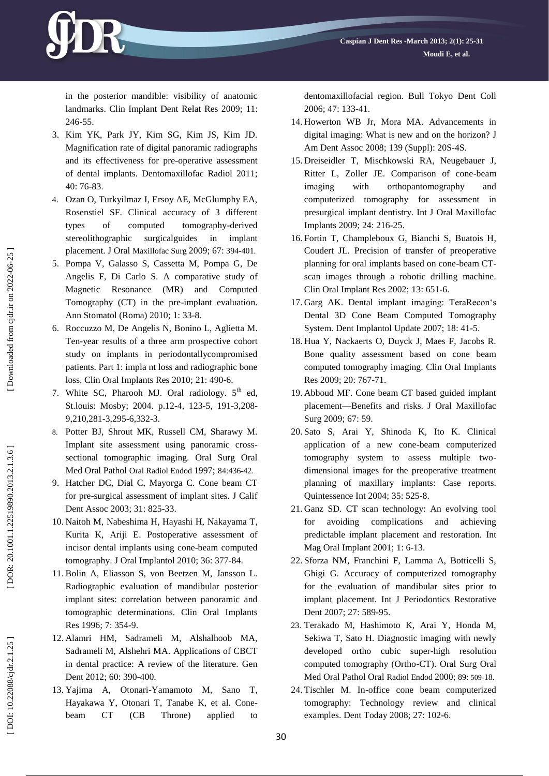

- 3 . Kim YK, Park JY, Kim SG, Kim JS, Kim JD. Magnification rate of digital panoramic radiographs and its effectiveness for pre -operative assessment of dental implants. Dentomaxillofac Radiol 2011; 40: 76 -83.
- 4 . Ozan O, Turkyilmaz I, Ersoy AE, McGlumphy EA, Rosenstiel SF. Clinical accuracy of 3 different types of computed tomography -derived stereolithographic surgicalguides in implant placement. J Oral Maxillofac Surg 2009; 67: 394 -401.
- 5 . Pompa V, Galasso S, Cassetta M, Pompa G, De Angelis F, Di Carlo S. A comparative study of Magnetic Resonance (MR) and Computed Tomography (CT) in the pre -implant evaluation. Ann Stomatol (Roma) 2010; 1: 33 -8.
- 6 . Roccuzzo M, De Angelis N, Bonino L, Aglietta M. Ten -year results of a three arm prospective cohort study on implants in periodontallycompromised patients. Part 1: impla nt loss and radiographic bone loss. Clin Oral Implants Res 2010; 21: 490 -6.
- 7. White SC, Pharooh MJ. Oral radiology. 5<sup>th</sup> ed, St.louis: Mosby; 2004. p.12-4, 123-5, 191-3,208-9,210,281 -3,295 -6,332 -3.
- 8 . Potter BJ, Shrout MK, Russell CM, Sharawy M. Implant site assessment using panoramic cross sectional tomographic imaging. Oral Surg Oral Med Oral Pathol Oral Radiol Endod 1997; 84:436-42.
- 9 . Hatcher DC, Dial C, Mayorga C. Cone beam CT for pre -surgical assessment of implant sites. J Calif Dent Assoc 2003; 31: 825 -33.
- 10 . Naitoh M, Nabeshima H, Hayashi H, Nakayama T, Kurita K, Ariji E . Postoperative assessment of incisor dental implants using cone -beam computed tomography. J Oral Implantol 2010; 36: 377 -84.
- 11 . Bolin A, Eliasson S, von Beetzen M, Jansson L. Radiographic evaluation of mandibular posterior implant sites: correlation between panoramic and tomographic determinations. Clin Oral Implants Res 1996; 7: 354 -9.
- 12 . Alamri HM, Sadrameli M, Alshalhoob MA, Sadrameli M, Alshehri MA. Applications of CBCT in dental practice: A review of the literature. Gen Dent 2012; 60: 390-400.
- 13 . Yajima A, Otonari -Yamamoto M, Sano T, Hayakawa Y, Otonari T, Tanabe K, e t al. Cone beam CT (CB Throne) applied to

dentomaxillofacial region. Bull Tokyo Dent Coll 2006; 47: 133 -41.

- 14 . Howerton WB Jr, Mora MA. Advancements in digital imaging: What is new and on the horizon? J Am Dent Assoc 2008; 139 (Suppl ) : 20S -4S.
- 15 . Dreiseidler T, Mischkowski RA, Neugebauer J, Ritter L, Zoller JE. Comparison of cone -beam imaging with orthopantomography and computerized tomography for assessment in presurgical implant dentistry. Int J Oral Maxillofac Implants 2009; 24: 216 -25.
- 16 . Fortin T, Champleboux G, Bianchi S, Buatois H, Coudert JL. Precision of transfer of preoperative planning for oral implants based on cone -beam CT scan images through a robotic drilling machine. Clin Oral Implant Res 2002; 13: 651 -6.
- 17 . Garg AK. Dental implant imaging: TeraRecon's Dental 3D Cone Beam Computed Tomography System. Dent Implantol Update 2007; 18: 41 -5.
- 18 . Hua Y, Nackaerts O, Duyck J, Maes F, Jacobs R. Bone quality assessment based on cone beam computed tomography imaging. Clin Oral Implants Res 2009; 20: 767 -71.
- 19 . Abboud MF. Cone beam CT based guided implant placement —Benefits and risks. J Oral Maxillofac Surg 2009; 67: 59.
- 20 . Sato S, Arai Y, Shinoda K, Ito K. Clinical application of a new cone -beam computerized tomography system to assess multiple two dimensional images for the preoperative treatment planning of maxillary implants: Case reports. Quintessence Int 2004; 35: 525 -8.
- 21 . Ganz SD. CT scan technology: An evolving tool for avoiding complications and achieving predictable implant placement and restoration. Int Mag Oral Implant 2001; 1: 6 -13.
- 22 . Sforza NM, Franchini F, Lamma A, Botticelli S, Ghigi G. Accuracy of computerized tomography for the evaluation of mandibular sites prior to implant placement. Int J Periodontics Restorative Dent 2007; 27: 589 -95.
- 23 . Terakado M, Hashimoto K, Arai Y, Honda M, Sekiwa T, Sato H. Diagnostic imaging with newly developed ortho cubic super -high resolution computed tomography (Ortho -CT). Oral Surg Oral Med Oral Pathol Oral Radiol Endod 2000; 89: 509 -18.
- 24 . Tischler M. In -office cone beam computerized tomography: Technology review and clinical examples. Dent Today 2008; 27: 102 -6.

DOI: 10.22088/cjdr.2.1.25